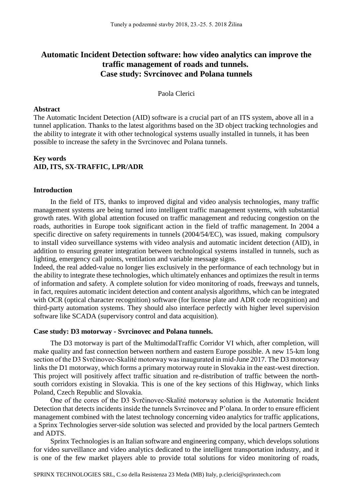# **Automatic Incident Detection software: how video analytics can improve the traffic management of roads and tunnels. Case study: Svrcinovec and Polana tunnels**

### Paola Clerici

#### **Abstract**

The Automatic Incident Detection (AID) software is a crucial part of an ITS system, above all in a tunnel application. Thanks to the latest algorithms based on the 3D object tracking technologies and the ability to integrate it with other technological systems usually installed in tunnels, it has been possible to increase the safety in the Svrcinovec and Polana tunnels.

## **Key words AID, ITS, SX-TRAFFIC, LPR/ADR**

#### **Introduction**

In the field of ITS, thanks to improved digital and video analysis technologies, many traffic management systems are being turned into intelligent traffic management systems, with substantial growth rates. With global attention focused on traffic management and reducing congestion on the roads, authorities in Europe took significant action in the field of traffic management. In 2004 a specific directive on safety requirements in tunnels (2004/54/EC), was issued, making compulsory to install video surveillance systems with video analysis and automatic incident detection (AID), in addition to ensuring greater integration between technological systems installed in tunnels, such as lighting, emergency call points, ventilation and variable message signs.

Indeed, the real added-value no longer lies exclusively in the performance of each technology but in the ability to integrate these technologies, which ultimately enhances and optimizes the result in terms of information and safety. A complete solution for video monitoring of roads, freeways and tunnels, in fact, requires automatic incident detection and content analysis algorithms, which can be integrated with OCR (optical character recognition) software (for license plate and ADR code recognition) and third-party automation systems. They should also interface perfectly with higher level supervision software like SCADA (supervisory control and data acquisition).

#### **Case study: D3 motorway - Svrcinovec and Polana tunnels.**

The D3 motorway is part of the MultimodalTraffic Corridor VI which, after completion, will make quality and fast connection between northern and eastern Europe possible. A new 15-km long section of the D3 Svrčinovec-Skalité motorway was inaugurated in mid-June 2017. The D3 motorway links the D1 motorway, which forms a primary motorway route in Slovakia in the east-west direction. This project will positively affect traffic situation and re-distribution of traffic between the northsouth corridors existing in Slovakia. This is one of the key sections of this Highway, which links Poland, Czech Republic and Slovakia.

One of the cores of the D3 Svrčinovec-Skalité motorway solution is the Automatic Incident Detection that detects incidents inside the tunnels Svrcinovec and P'olana. In order to ensure efficient management combined with the latest technology concerning video analytics for traffic applications, a Sprinx Technologies server-side solution was selected and provided by the local partners Gemtech and ADTS.

Sprinx Technologies is an Italian software and engineering company, which develops solutions for video surveillance and video analytics dedicated to the intelligent transportation industry, and it is one of the few market players able to provide total solutions for video monitoring of roads,